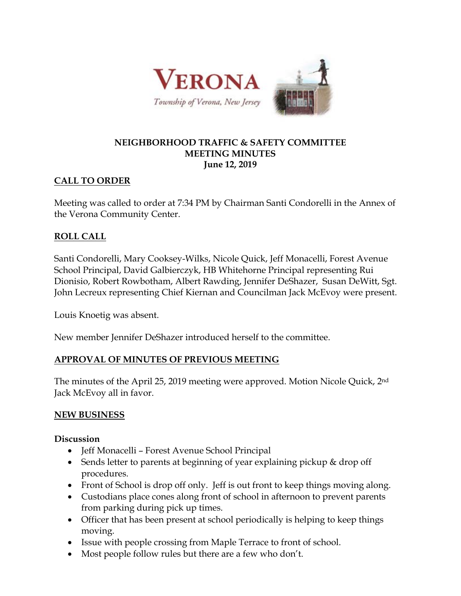

#### **NEIGHBORHOOD TRAFFIC & SAFETY COMMITTEE MEETING MINUTES June 12, 2019**

### **CALL TO ORDER**

Meeting was called to order at 7:34 PM by Chairman Santi Condorelli in the Annex of the Verona Community Center.

# **ROLL CALL**

Santi Condorelli, Mary Cooksey-Wilks, Nicole Quick, Jeff Monacelli, Forest Avenue School Principal, David Galbierczyk, HB Whitehorne Principal representing Rui Dionisio, Robert Rowbotham, Albert Rawding, Jennifer DeShazer, Susan DeWitt, Sgt. John Lecreux representing Chief Kiernan and Councilman Jack McEvoy were present.

Louis Knoetig was absent.

New member Jennifer DeShazer introduced herself to the committee.

### **APPROVAL OF MINUTES OF PREVIOUS MEETING**

The minutes of the April 25, 2019 meeting were approved. Motion Nicole Quick, 2nd Jack McEvoy all in favor.

### **NEW BUSINESS**

#### **Discussion**

- Jeff Monacelli Forest Avenue School Principal
- Sends letter to parents at beginning of year explaining pickup & drop off procedures.
- Front of School is drop off only. Jeff is out front to keep things moving along.
- Custodians place cones along front of school in afternoon to prevent parents from parking during pick up times.
- Officer that has been present at school periodically is helping to keep things moving.
- Issue with people crossing from Maple Terrace to front of school.
- Most people follow rules but there are a few who don't.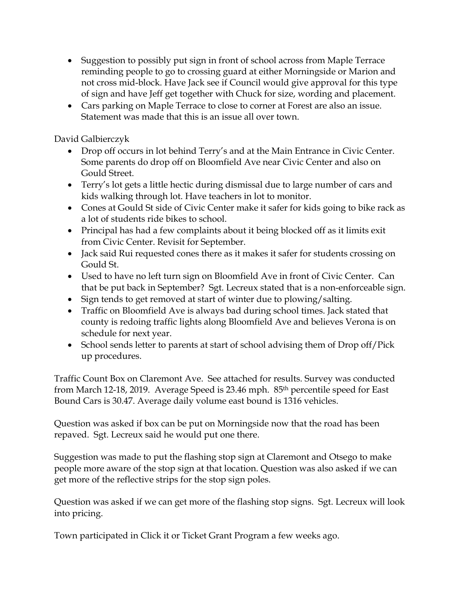- Suggestion to possibly put sign in front of school across from Maple Terrace reminding people to go to crossing guard at either Morningside or Marion and not cross mid-block. Have Jack see if Council would give approval for this type of sign and have Jeff get together with Chuck for size, wording and placement.
- Cars parking on Maple Terrace to close to corner at Forest are also an issue. Statement was made that this is an issue all over town.

David Galbierczyk

- Drop off occurs in lot behind Terry's and at the Main Entrance in Civic Center. Some parents do drop off on Bloomfield Ave near Civic Center and also on Gould Street.
- Terry's lot gets a little hectic during dismissal due to large number of cars and kids walking through lot. Have teachers in lot to monitor.
- Cones at Gould St side of Civic Center make it safer for kids going to bike rack as a lot of students ride bikes to school.
- Principal has had a few complaints about it being blocked off as it limits exit from Civic Center. Revisit for September.
- Jack said Rui requested cones there as it makes it safer for students crossing on Gould St.
- Used to have no left turn sign on Bloomfield Ave in front of Civic Center. Can that be put back in September? Sgt. Lecreux stated that is a non-enforceable sign.
- Sign tends to get removed at start of winter due to plowing/salting.
- Traffic on Bloomfield Ave is always bad during school times. Jack stated that county is redoing traffic lights along Bloomfield Ave and believes Verona is on schedule for next year.
- School sends letter to parents at start of school advising them of Drop off/Pick up procedures.

Traffic Count Box on Claremont Ave. See attached for results. Survey was conducted from March 12-18, 2019. Average Speed is 23.46 mph. 85<sup>th</sup> percentile speed for East Bound Cars is 30.47. Average daily volume east bound is 1316 vehicles.

Question was asked if box can be put on Morningside now that the road has been repaved. Sgt. Lecreux said he would put one there.

Suggestion was made to put the flashing stop sign at Claremont and Otsego to make people more aware of the stop sign at that location. Question was also asked if we can get more of the reflective strips for the stop sign poles.

Question was asked if we can get more of the flashing stop signs. Sgt. Lecreux will look into pricing.

Town participated in Click it or Ticket Grant Program a few weeks ago.